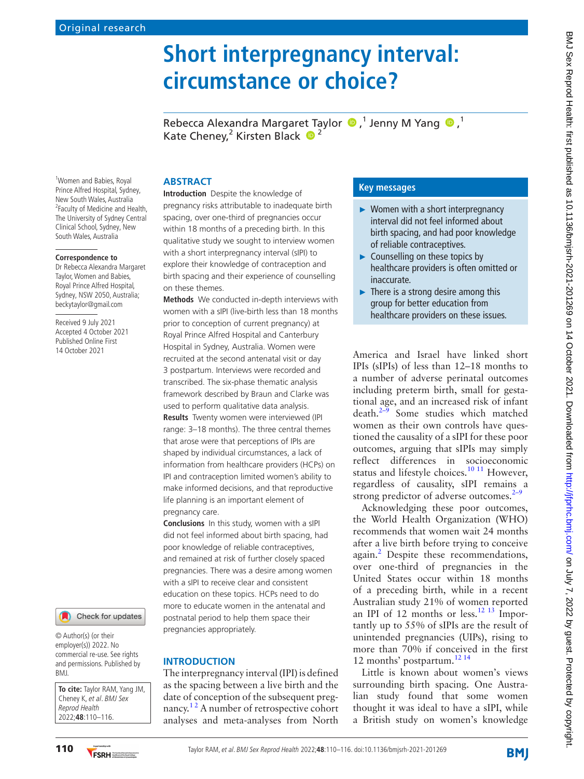# **Short interpregnancy interval: circumstance or choice?**

RebeccaAlexandra Margaret Taylor  $\bigcirc$ ,<sup>1</sup> Jenny M Yang  $\bigcirc$ ,<sup>1</sup> Kate Cheney,<sup>2</sup> Kirsten Black  $\bullet$ <sup>2</sup>

<sup>1</sup>Women and Babies, Royal Prince Alfred Hospital, Sydney, New South Wales, Australia <sup>2</sup> Faculty of Medicine and Health, The University of Sydney Central Clinical School, Sydney, New South Wales, Australia

#### **Correspondence to**

Dr Rebecca Alexandra Margaret Taylor, Women and Babies, Royal Prince Alfred Hospital, Sydney, NSW 2050, Australia; beckytaylor@gmail.com

Received 9 July 2021 Accepted 4 October 2021 Published Online First 14 October 2021



© Author(s) (or their employer(s)) 2022. No commercial re-use. See rights and permissions. Published by BMJ.

**To cite:** Taylor RAM, Yang JM, Cheney K, et al. BMJ Sex Reprod Health 2022;**48**:110–116.

## **ABSTRACT**

**Introduction** Despite the knowledge of pregnancy risks attributable to inadequate birth spacing, over one-third of pregnancies occur within 18 months of a preceding birth. In this qualitative study we sought to interview women with a short interpregnancy interval (sIPI) to explore their knowledge of contraception and birth spacing and their experience of counselling on these themes.

**Methods** We conducted in-depth interviews with women with a sIPI (live-birth less than 18 months prior to conception of current pregnancy) at Royal Prince Alfred Hospital and Canterbury Hospital in Sydney, Australia. Women were recruited at the second antenatal visit or day 3 postpartum. Interviews were recorded and transcribed. The six-phase thematic analysis framework described by Braun and Clarke was used to perform qualitative data analysis. **Results** Twenty women were interviewed (IPI range: 3–18 months). The three central themes that arose were that perceptions of IPIs are shaped by individual circumstances, a lack of information from healthcare providers (HCPs) on IPI and contraception limited women's ability to make informed decisions, and that reproductive life planning is an important element of pregnancy care.

**Conclusions** In this study, women with a sIPI did not feel informed about birth spacing, had poor knowledge of reliable contraceptives, and remained at risk of further closely spaced pregnancies. There was a desire among women with a sIPI to receive clear and consistent education on these topics. HCPs need to do more to educate women in the antenatal and postnatal period to help them space their pregnancies appropriately.

### **INTRODUCTION**

The interpregnancy interval (IPI) is defined as the spacing between a live birth and the date of conception of the subsequent pregnancy.<sup>12</sup> A number of retrospective cohort analyses and meta-analyses from North

## **Key messages**

- ► Women with a short interpregnancy interval did not feel informed about birth spacing, and had poor knowledge of reliable contraceptives.
- $\blacktriangleright$  Counselling on these topics by healthcare providers is often omitted or inaccurate.
- $\blacktriangleright$  There is a strong desire among this group for better education from healthcare providers on these issues.

America and Israel have linked short IPIs (sIPIs) of less than 12–18 months to a number of adverse perinatal outcomes including preterm birth, small for gestational age, and an increased risk of infant death.[2–9](#page-5-1) Some studies which matched women as their own controls have questioned the causality of a sIPI for these poor outcomes, arguing that sIPIs may simply reflect differences in socioeconomic status and lifestyle choices.<sup>10 11</sup> However, regardless of causality, sIPI remains a strong predictor of adverse outcomes. $2-9$ 

Acknowledging these poor outcomes, the World Health Organization (WHO) recommends that women wait 24 months after a live birth before trying to conceive again.<sup>[2](#page-5-1)</sup> Despite these recommendations, over one-third of pregnancies in the United States occur within 18 months of a preceding birth, while in a recent Australian study 21% of women reported an IPI of 12 months or less.<sup>12 13</sup> Importantly up to 55% of sIPIs are the result of unintended pregnancies (UIPs), rising to more than 70% if conceived in the first 12 months' postpartum.<sup>[12 14](#page-5-3)</sup>

Little is known about women's views surrounding birth spacing. One Australian study found that some women thought it was ideal to have a sIPI, while a British study on women's knowledge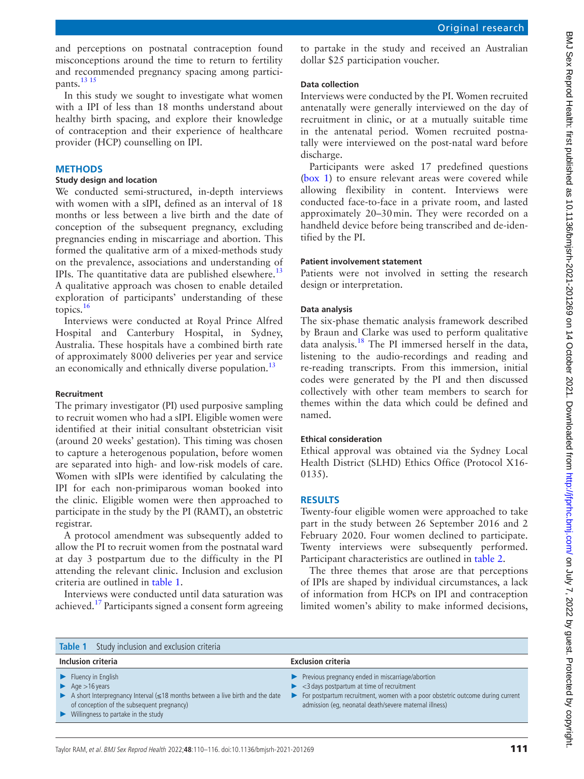and perceptions on postnatal contraception found misconceptions around the time to return to fertility and recommended pregnancy spacing among participants.<sup>13</sup> 15

In this study we sought to investigate what women with a IPI of less than 18 months understand about healthy birth spacing, and explore their knowledge of contraception and their experience of healthcare provider (HCP) counselling on IPI.

# **METHODS**

# **Study design and location**

We conducted semi-structured, in-depth interviews with women with a sIPI, defined as an interval of 18 months or less between a live birth and the date of conception of the subsequent pregnancy, excluding pregnancies ending in miscarriage and abortion. This formed the qualitative arm of a mixed-methods study on the prevalence, associations and understanding of IPIs. The quantitative data are published elsewhere.<sup>13</sup> A qualitative approach was chosen to enable detailed exploration of participants' understanding of these topics.[16](#page-6-0)

Interviews were conducted at Royal Prince Alfred Hospital and Canterbury Hospital, in Sydney, Australia. These hospitals have a combined birth rate of approximately 8000 deliveries per year and service an economically and ethnically diverse population.<sup>[13](#page-5-4)</sup>

### **Recruitment**

The primary investigator (PI) used purposive sampling to recruit women who had a sIPI. Eligible women were identified at their initial consultant obstetrician visit (around 20 weeks' gestation). This timing was chosen to capture a heterogenous population, before women are separated into high- and low-risk models of care. Women with sIPIs were identified by calculating the IPI for each non-primiparous woman booked into the clinic. Eligible women were then approached to participate in the study by the PI (RAMT), an obstetric registrar.

A protocol amendment was subsequently added to allow the PI to recruit women from the postnatal ward at day 3 postpartum due to the difficulty in the PI attending the relevant clinic. Inclusion and exclusion criteria are outlined in [table](#page-1-0) 1.

Interviews were conducted until data saturation was achieved.<sup>17</sup> Participants signed a consent form agreeing

to partake in the study and received an Australian dollar \$25 participation voucher.

### **Data collection**

Interviews were conducted by the PI. Women recruited antenatally were generally interviewed on the day of recruitment in clinic, or at a mutually suitable time in the antenatal period. Women recruited postnatally were interviewed on the post-natal ward before discharge.

Participants were asked 17 predefined questions [\(box](#page-2-0) 1) to ensure relevant areas were covered while allowing flexibility in content. Interviews were conducted face-to-face in a private room, and lasted approximately 20–30min. They were recorded on a handheld device before being transcribed and de-identified by the PI.

### **Patient involvement statement**

Patients were not involved in setting the research design or interpretation.

## **Data analysis**

The six-phase thematic analysis framework described by Braun and Clarke was used to perform qualitative data analysis[.18](#page-6-2) The PI immersed herself in the data, listening to the audio-recordings and reading and re-reading transcripts. From this immersion, initial codes were generated by the PI and then discussed collectively with other team members to search for themes within the data which could be defined and named.

### **Ethical consideration**

Ethical approval was obtained via the Sydney Local Health District (SLHD) Ethics Office (Protocol X16- 0135).

## **RESULTS**

Twenty-four eligible women were approached to take part in the study between 26 September 2016 and 2 February 2020. Four women declined to participate. Twenty interviews were subsequently performed. Participant characteristics are outlined in [table](#page-2-1) 2.

The three themes that arose are that perceptions of IPIs are shaped by individual circumstances, a lack of information from HCPs on IPI and contraception limited women's ability to make informed decisions,

<span id="page-1-0"></span>

| <b>Table 1</b> Study inclusion and exclusion criteria                                                                                                                                                                                    |                                                                                                                                                                                                                                                                      |
|------------------------------------------------------------------------------------------------------------------------------------------------------------------------------------------------------------------------------------------|----------------------------------------------------------------------------------------------------------------------------------------------------------------------------------------------------------------------------------------------------------------------|
| Inclusion criteria                                                                                                                                                                                                                       | <b>Exclusion criteria</b>                                                                                                                                                                                                                                            |
| $\blacktriangleright$ Fluency in English<br>Age $>16$ years<br>A short Interpregnancy Interval $\leq$ 18 months between a live birth and the date<br>of conception of the subsequent pregnancy)<br>• Willingness to partake in the study | Previous pregnancy ended in miscarriage/abortion<br>$\blacktriangleright$ <3 days postpartum at time of recruitment<br>For postpartum recruitment, women with a poor obstetric outcome during current<br>▶<br>admission (eq, neonatal death/severe maternal illness) |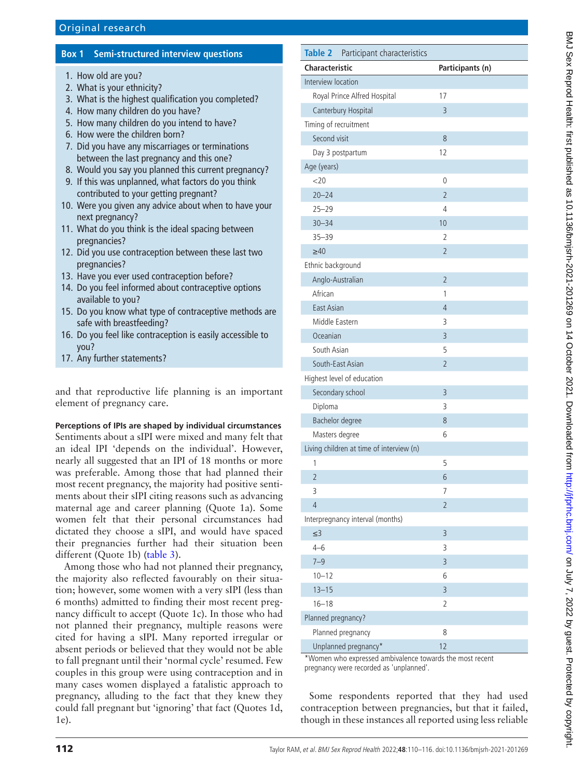## **Box 1 Semi-structured interview questions**

- <span id="page-2-0"></span>1. How old are you?
- 2. What is your ethnicity?
- 3. What is the highest qualification you completed?
- 4. How many children do you have?
- 5. How many children do you intend to have?
- 6. How were the children born?
- 7. Did you have any miscarriages or terminations between the last pregnancy and this one?
- 8. Would you say you planned this current pregnancy?
- 9. If this was unplanned, what factors do you think contributed to your getting pregnant?
- 10. Were you given any advice about when to have your next pregnancy?
- 11. What do you think is the ideal spacing between pregnancies?
- 12. Did you use contraception between these last two pregnancies?
- 13. Have you ever used contraception before?
- 14. Do you feel informed about contraceptive options available to you?
- 15. Do you know what type of contraceptive methods are safe with breastfeeding?
- 16. Do you feel like contraception is easily accessible to you?
- 17. Any further statements?

and that reproductive life planning is an important element of pregnancy care.

**Perceptions of IPIs are shaped by individual circumstances** Sentiments about a sIPI were mixed and many felt that an ideal IPI 'depends on the individual'. However, nearly all suggested that an IPI of 18 months or more was preferable. Among those that had planned their most recent pregnancy, the majority had positive sentiments about their sIPI citing reasons such as advancing maternal age and career planning (Quote 1a). Some women felt that their personal circumstances had dictated they choose a sIPI, and would have spaced their pregnancies further had their situation been different (Quote 1b) ([table](#page-3-0) 3).

Among those who had not planned their pregnancy, the majority also reflected favourably on their situation; however, some women with a very sIPI (less than 6 months) admitted to finding their most recent pregnancy difficult to accept (Quote 1c). In those who had not planned their pregnancy, multiple reasons were cited for having a sIPI. Many reported irregular or absent periods or believed that they would not be able to fall pregnant until their 'normal cycle' resumed. Few couples in this group were using contraception and in many cases women displayed a fatalistic approach to pregnancy, alluding to the fact that they knew they could fall pregnant but 'ignoring' that fact (Quotes 1d, 1e).

<span id="page-2-1"></span>

| <b>Table 2</b><br>Participant characteristics |                  |  |  |
|-----------------------------------------------|------------------|--|--|
| <b>Characteristic</b>                         | Participants (n) |  |  |
| Interview location                            |                  |  |  |
| Royal Prince Alfred Hospital                  | 17               |  |  |
| Canterbury Hospital                           | $\overline{3}$   |  |  |
| Timing of recruitment                         |                  |  |  |
| Second visit                                  | 8                |  |  |
| Day 3 postpartum                              | 12               |  |  |
| Age (years)                                   |                  |  |  |
| <20                                           | 0                |  |  |
| $20 - 24$                                     | $\overline{2}$   |  |  |
| $25 - 29$                                     | 4                |  |  |
| $30 - 34$                                     | 10               |  |  |
| $35 - 39$                                     | 2                |  |  |
| $\geq 40$<br>$\overline{2}$                   |                  |  |  |
| Ethnic background                             |                  |  |  |
| Anglo-Australian                              | $\overline{2}$   |  |  |
| African                                       | 1                |  |  |
| <b>East Asian</b>                             | 4                |  |  |
| Middle Fastern                                | 3                |  |  |
| Oceanian                                      | $\overline{3}$   |  |  |
| South Asian                                   | 5                |  |  |
| South-East Asian                              | $\overline{2}$   |  |  |
| Highest level of education                    |                  |  |  |
| 3<br>Secondary school                         |                  |  |  |
| 3<br>Diploma                                  |                  |  |  |
| Bachelor degree                               | 8                |  |  |
| Masters degree<br>6                           |                  |  |  |
| Living children at time of interview (n)      |                  |  |  |
| 1                                             | 5                |  |  |
| $\overline{2}$                                | 6                |  |  |
| 3                                             | 7                |  |  |
| $\overline{4}$                                | $\overline{2}$   |  |  |
| Interpregnancy interval (months)              |                  |  |  |
| $\leq$ 3                                      | 3                |  |  |
| $4 - 6$                                       | 3                |  |  |
| $7 - 9$                                       | 3                |  |  |
| $10 - 12$                                     | 6                |  |  |
| $13 - 15$                                     | $\overline{3}$   |  |  |
| $16 - 18$                                     | $\overline{2}$   |  |  |
| Planned pregnancy?                            |                  |  |  |
| Planned pregnancy                             | 8                |  |  |
| Unplanned pregnancy*                          | 12               |  |  |

\*Women who expressed ambivalence towards the most recent pregnancy were recorded as 'unplanned'.

Some respondents reported that they had used contraception between pregnancies, but that it failed, though in these instances all reported using less reliable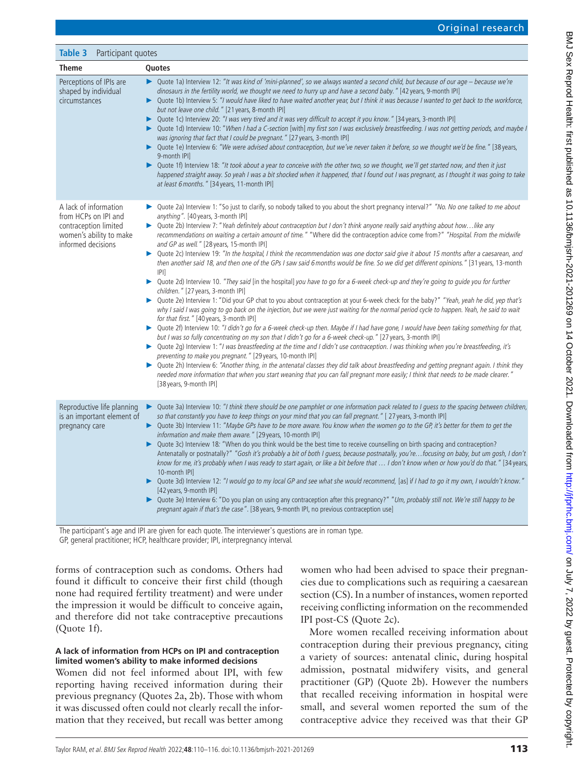<span id="page-3-0"></span>

| <b>Table 3</b><br>Participant quotes                                                                                    |                                                                                                                                                                                                                                                                                                                                                                                                                                                                                                                                                                                                                                                                                                                                                                                                                                                                                                                                                                                                                                                                                                                                                                                                                                                                                                                                                                                                                                                                                                                                                                                                                                                                                                                                                                                                                                                                                                                                                                                                                                                                                                                 |  |
|-------------------------------------------------------------------------------------------------------------------------|-----------------------------------------------------------------------------------------------------------------------------------------------------------------------------------------------------------------------------------------------------------------------------------------------------------------------------------------------------------------------------------------------------------------------------------------------------------------------------------------------------------------------------------------------------------------------------------------------------------------------------------------------------------------------------------------------------------------------------------------------------------------------------------------------------------------------------------------------------------------------------------------------------------------------------------------------------------------------------------------------------------------------------------------------------------------------------------------------------------------------------------------------------------------------------------------------------------------------------------------------------------------------------------------------------------------------------------------------------------------------------------------------------------------------------------------------------------------------------------------------------------------------------------------------------------------------------------------------------------------------------------------------------------------------------------------------------------------------------------------------------------------------------------------------------------------------------------------------------------------------------------------------------------------------------------------------------------------------------------------------------------------------------------------------------------------------------------------------------------------|--|
| <b>Theme</b>                                                                                                            | Quotes                                                                                                                                                                                                                                                                                                                                                                                                                                                                                                                                                                                                                                                                                                                                                                                                                                                                                                                                                                                                                                                                                                                                                                                                                                                                                                                                                                                                                                                                                                                                                                                                                                                                                                                                                                                                                                                                                                                                                                                                                                                                                                          |  |
| Perceptions of IPIs are<br>shaped by individual<br>circumstances                                                        | ▶ Quote 1a) Interview 12: "It was kind of 'mini-planned', so we always wanted a second child, but because of our age - because we're<br>dinosaurs in the fertility world, we thought we need to hurry up and have a second baby." [42 years, 9-month IPI]<br>▶ Quote 1b) Interview 5: "I would have liked to have waited another year, but I think it was because I wanted to get back to the workforce,<br>but not leave one child." [21 years, 8-month IPI]<br>Quote 1c) Interview 20: "I was very tired and it was very difficult to accept it you know." [34 years, 3-month IPI]<br>▶<br>Quote 1d) Interview 10: "When I had a C-section [with] my first son I was exclusively breastfeeding. I was not getting periods, and maybe I<br>▶<br>was ignoring that fact that I could be pregnant." [27 years, 3-month IPI]<br>Quote 1e) Interview 6: "We were advised about contraception, but we've never taken it before, so we thought we'd be fine." [38 years,<br>▶<br>9-month IPI]<br>▶ Quote 1f) Interview 18: "It took about a year to conceive with the other two, so we thought, we'll get started now, and then it just<br>happened straight away. So yeah I was a bit shocked when it happened, that I found out I was pregnant, as I thought it was going to take<br>at least 6 months." [34 years, 11-month IPI]                                                                                                                                                                                                                                                                                                                                                                                                                                                                                                                                                                                                                                                                                                                                                                                  |  |
| A lack of information<br>from HCPs on IPI and<br>contraception limited<br>women's ability to make<br>informed decisions | Quote 2a) Interview 1: "So just to clarify, so nobody talked to you about the short pregnancy interval?" "No. No one talked to me about<br>anything". [40 years, 3-month IPI]<br>► Quote 2b) Interview 7: "Yeah definitely about contraception but I don't think anyone really said anything about howlike any<br>recommendations on waiting a certain amount of time." "Where did the contraception advice come from?" "Hospital. From the midwife<br>and GP as well." [28 years, 15-month IPI]<br>► Quote 2c) Interview 19: "In the hospital, I think the recommendation was one doctor said give it about 15 months after a caesarean, and<br>then another said 18, and then one of the GPs I saw said 6 months would be fine. So we did get different opinions." [31 years, 13-month<br> P <br>Quote 2d) Interview 10. "They said [in the hospital] you have to go for a 6-week check-up and they're going to guide you for further<br>▶<br>children." [27 years, 3-month IPI]<br>▶ Quote 2e) Interview 1: "Did your GP chat to you about contraception at your 6-week check for the baby?" "Yeah, yeah he did, yep that's<br>why I said I was going to go back on the injection, but we were just waiting for the normal period cycle to happen. Yeah, he said to wait<br>for that first." [40 years, 3-month IPI]<br>▶ Quote 2f) Interview 10: "I didn't go for a 6-week check-up then. Maybe if I had have gone, I would have been taking something for that,<br>but I was so fully concentrating on my son that I didn't go for a 6-week check-up." [27 years, 3-month IPI]<br>▶ Quote 2g) Interview 1: "I was breastfeeding at the time and I didn't use contraception. I was thinking when you're breastfeeding, it's<br>preventing to make you pregnant." [29 years, 10-month IPI]<br>▶ Quote 2h) Interview 6: "Another thing, in the antenatal classes they did talk about breastfeeding and getting pregnant again. I think they<br>needed more information that when you start weaning that you can fall pregnant more easily; I think that needs to be made clearer."<br>[38 years, 9-month IPI] |  |
| Reproductive life planning<br>is an important element of<br>pregnancy care                                              | Quote 3a) Interview 10: "I think there should be one pamphlet or one information pack related to I quess to the spacing between children,<br>▶<br>so that constantly you have to keep things on your mind that you can fall pregnant." [27 years, 3-month IPI]<br>▶ Quote 3b) Interview 11: "Maybe GPs have to be more aware. You know when the women go to the GP, it's better for them to get the<br>information and make them aware." [29 years, 10-month IPI]<br>Quote 3c) Interview 18: "When do you think would be the best time to receive counselling on birth spacing and contraception?<br>▶<br>Antenatally or postnatally?" "Gosh it's probably a bit of both I guess, because postnatally, you'refocusing on baby, but um gosh, I don't<br>know for me, it's probably when I was ready to start again, or like a bit before that  I don't know when or how you'd do that." [34 years,<br>10-month IPI]<br>Quote 3d) Interview 12: "I would go to my local GP and see what she would recommend, [as] if I had to go it my own, I wouldn't know."<br>▶<br>[42 years, 9-month IPI]<br>▶ Quote 3e) Interview 6: "Do you plan on using any contraception after this pregnancy?" "Um, probably still not. We're still happy to be<br>pregnant again if that's the case". [38 years, 9-month IPI, no previous contraception use]                                                                                                                                                                                                                                                                                                                                                                                                                                                                                                                                                                                                                                                                                                                                                                           |  |

The participant's age and IPI are given for each quote. The interviewer's questions are in roman type.

GP, general practitioner; HCP, healthcare provider; IPI, interpregnancy interval.

forms of contraception such as condoms. Others had found it difficult to conceive their first child (though none had required fertility treatment) and were under the impression it would be difficult to conceive again, and therefore did not take contraceptive precautions (Quote 1f).

### **A lack of information from HCPs on IPI and contraception limited women's ability to make informed decisions**

Women did not feel informed about IPI, with few reporting having received information during their previous pregnancy (Quotes 2a, 2b). Those with whom it was discussed often could not clearly recall the information that they received, but recall was better among women who had been advised to space their pregnancies due to complications such as requiring a caesarean section (CS). In a number of instances, women reported receiving conflicting information on the recommended IPI post-CS (Quote 2c).

More women recalled receiving information about contraception during their previous pregnancy, citing a variety of sources: antenatal clinic, during hospital admission, postnatal midwifery visits, and general practitioner (GP) (Quote 2b). However the numbers that recalled receiving information in hospital were small, and several women reported the sum of the contraceptive advice they received was that their GP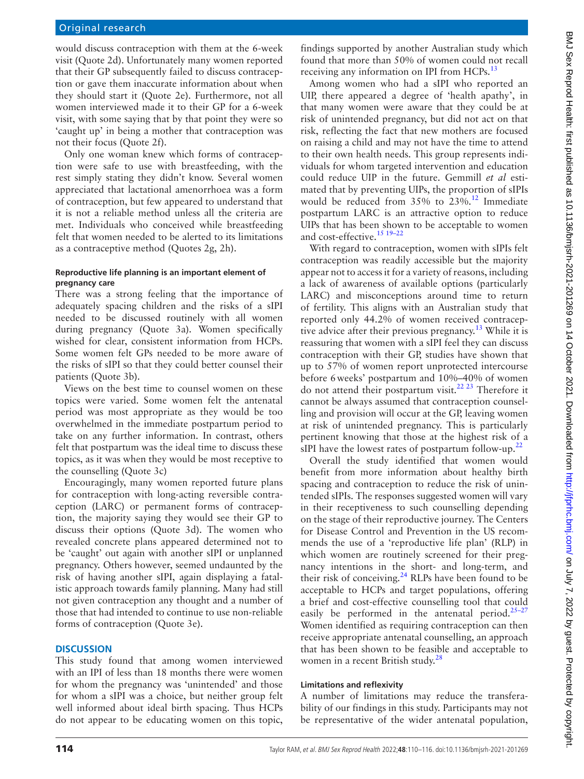would discuss contraception with them at the 6-week visit (Quote 2d). Unfortunately many women reported that their GP subsequently failed to discuss contraception or gave them inaccurate information about when they should start it (Quote 2e). Furthermore, not all women interviewed made it to their GP for a 6-week visit, with some saying that by that point they were so 'caught up' in being a mother that contraception was not their focus (Quote 2f).

Only one woman knew which forms of contraception were safe to use with breastfeeding, with the rest simply stating they didn't know. Several women appreciated that lactational amenorrhoea was a form of contraception, but few appeared to understand that it is not a reliable method unless all the criteria are met. Individuals who conceived while breastfeeding felt that women needed to be alerted to its limitations as a contraceptive method (Quotes 2g, 2h).

#### **Reproductive life planning is an important element of pregnancy care**

There was a strong feeling that the importance of adequately spacing children and the risks of a sIPI needed to be discussed routinely with all women during pregnancy (Quote 3a). Women specifically wished for clear, consistent information from HCPs. Some women felt GPs needed to be more aware of the risks of sIPI so that they could better counsel their patients (Quote 3b).

Views on the best time to counsel women on these topics were varied. Some women felt the antenatal period was most appropriate as they would be too overwhelmed in the immediate postpartum period to take on any further information. In contrast, others felt that postpartum was the ideal time to discuss these topics, as it was when they would be most receptive to the counselling (Quote 3c)

Encouragingly, many women reported future plans for contraception with long-acting reversible contraception (LARC) or permanent forms of contraception, the majority saying they would see their GP to discuss their options (Quote 3d). The women who revealed concrete plans appeared determined not to be 'caught' out again with another sIPI or unplanned pregnancy. Others however, seemed undaunted by the risk of having another sIPI, again displaying a fatalistic approach towards family planning. Many had still not given contraception any thought and a number of those that had intended to continue to use non-reliable forms of contraception (Quote 3e).

### **DISCUSSION**

This study found that among women interviewed with an IPI of less than 18 months there were women for whom the pregnancy was 'unintended' and those for whom a sIPI was a choice, but neither group felt well informed about ideal birth spacing. Thus HCPs do not appear to be educating women on this topic,

findings supported by another Australian study which found that more than 50% of women could not recall receiving any information on IPI from HCPs.<sup>13</sup>

Among women who had a sIPI who reported an UIP, there appeared a degree of 'health apathy', in that many women were aware that they could be at risk of unintended pregnancy, but did not act on that risk, reflecting the fact that new mothers are focused on raising a child and may not have the time to attend to their own health needs. This group represents individuals for whom targeted intervention and education could reduce UIP in the future. Gemmill *et al* estimated that by preventing UIPs, the proportion of sIPIs would be reduced from 35% to 23%.<sup>[12](#page-5-3)</sup> Immediate postpartum LARC is an attractive option to reduce UIPs that has been shown to be acceptable to women and cost-effective[.15 19–22](#page-6-3)

With regard to contraception, women with sIPIs felt contraception was readily accessible but the majority appear not to access it for a variety of reasons, including a lack of awareness of available options (particularly LARC) and misconceptions around time to return of fertility. This aligns with an Australian study that reported only 44.2% of women received contracep-tive advice after their previous pregnancy.<sup>[13](#page-5-4)</sup> While it is reassuring that women with a sIPI feel they can discuss contraception with their GP, studies have shown that up to 57% of women report unprotected intercourse before 6weeks' postpartum and 10%–40% of women do not attend their postpartum visit.[22 23](#page-6-4) Therefore it cannot be always assumed that contraception counselling and provision will occur at the GP, leaving women at risk of unintended pregnancy. This is particularly pertinent knowing that those at the highest risk of a sIPI have the lowest rates of postpartum follow-up.<sup>[22](#page-6-4)</sup>

Overall the study identified that women would benefit from more information about healthy birth spacing and contraception to reduce the risk of unintended sIPIs. The responses suggested women will vary in their receptiveness to such counselling depending on the stage of their reproductive journey. The Centers for Disease Control and Prevention in the US recommends the use of a 'reproductive life plan' (RLP) in which women are routinely screened for their pregnancy intentions in the short- and long-term, and their risk of conceiving. $^{24}$  RLPs have been found to be acceptable to HCPs and target populations, offering a brief and cost-effective counselling tool that could easily be performed in the antenatal period. $25-27$ Women identified as requiring contraception can then receive appropriate antenatal counselling, an approach that has been shown to be feasible and acceptable to women in a recent British study.<sup>[28](#page-6-7)</sup>

### **Limitations and reflexivity**

A number of limitations may reduce the transferability of our findings in this study. Participants may not be representative of the wider antenatal population,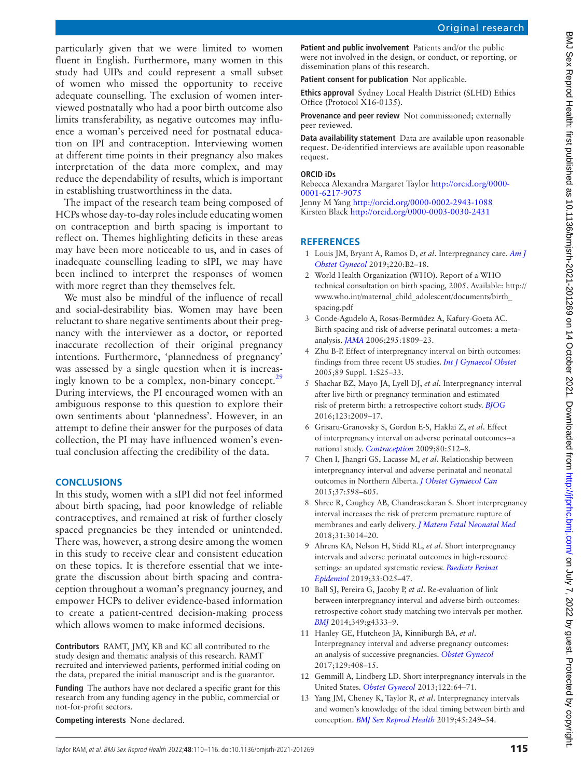particularly given that we were limited to women fluent in English. Furthermore, many women in this study had UIPs and could represent a small subset of women who missed the opportunity to receive adequate counselling. The exclusion of women interviewed postnatally who had a poor birth outcome also limits transferability, as negative outcomes may influence a woman's perceived need for postnatal education on IPI and contraception. Interviewing women at different time points in their pregnancy also makes interpretation of the data more complex, and may reduce the dependability of results, which is important in establishing trustworthiness in the data.

The impact of the research team being composed of HCPs whose day-to-day roles include educating women on contraception and birth spacing is important to reflect on. Themes highlighting deficits in these areas may have been more noticeable to us, and in cases of inadequate counselling leading to sIPI, we may have been inclined to interpret the responses of women with more regret than they themselves felt.

We must also be mindful of the influence of recall and social-desirability bias. Women may have been reluctant to share negative sentiments about their pregnancy with the interviewer as a doctor, or reported inaccurate recollection of their original pregnancy intentions. Furthermore, 'plannedness of pregnancy' was assessed by a single question when it is increasingly known to be a complex, non-binary concept. $^{29}$  $^{29}$  $^{29}$ During interviews, the PI encouraged women with an ambiguous response to this question to explore their own sentiments about 'plannedness'. However, in an attempt to define their answer for the purposes of data collection, the PI may have influenced women's eventual conclusion affecting the credibility of the data.

#### **CONCLUSIONS**

In this study, women with a sIPI did not feel informed about birth spacing, had poor knowledge of reliable contraceptives, and remained at risk of further closely spaced pregnancies be they intended or unintended. There was, however, a strong desire among the women in this study to receive clear and consistent education on these topics. It is therefore essential that we integrate the discussion about birth spacing and contraception throughout a woman's pregnancy journey, and empower HCPs to deliver evidence-based information to create a patient-centred decision-making process which allows women to make informed decisions.

**Contributors** RAMT, JMY, KB and KC all contributed to the study design and thematic analysis of this research. RAMT recruited and interviewed patients, performed initial coding on the data, prepared the initial manuscript and is the guarantor.

**Funding** The authors have not declared a specific grant for this research from any funding agency in the public, commercial or not-for-profit sectors.

**Competing interests** None declared.

**Patient and public involvement** Patients and/or the public were not involved in the design, or conduct, or reporting, or dissemination plans of this research.

**Patient consent for publication** Not applicable.

**Ethics approval** Sydney Local Health District (SLHD) Ethics Office (Protocol X16-0135).

**Provenance and peer review** Not commissioned; externally peer reviewed.

**Data availability statement** Data are available upon reasonable request. De-identified interviews are available upon reasonable request.

#### **ORCID iDs**

Rebecca Alexandra Margaret Taylor [http://orcid.org/0000-](http://orcid.org/0000-0001-6217-9075) [0001-6217-9075](http://orcid.org/0000-0001-6217-9075)

Jenny M Yang<http://orcid.org/0000-0002-2943-1088> Kirsten Black <http://orcid.org/0000-0003-0030-2431>

#### **REFERENCES**

- <span id="page-5-0"></span>1 Louis JM, Bryant A, Ramos D, *et al*. Interpregnancy care. *[Am J](http://dx.doi.org/10.1016/j.ajog.2018.11.1098)  [Obstet Gynecol](http://dx.doi.org/10.1016/j.ajog.2018.11.1098)* 2019;220:B2–18.
- <span id="page-5-1"></span>2 World Health Organization (WHO). Report of a WHO technical consultation on birth spacing, 2005. Available: [http://](http://www.who.int/maternal_child_adolescent/documents/birth_spacing.pdf) [www.who.int/maternal\\_child\\_adolescent/documents/birth\\_](http://www.who.int/maternal_child_adolescent/documents/birth_spacing.pdf) [spacing.pdf](http://www.who.int/maternal_child_adolescent/documents/birth_spacing.pdf)
- 3 Conde-Agudelo A, Rosas-Bermúdez A, Kafury-Goeta AC. Birth spacing and risk of adverse perinatal outcomes: a metaanalysis. *[JAMA](http://dx.doi.org/10.1001/jama.295.15.1809)* 2006;295:1809–23.
- 4 Zhu B-P. Effect of interpregnancy interval on birth outcomes: findings from three recent US studies. *[Int J Gynaecol Obstet](http://dx.doi.org/10.1016/j.ijgo.2004.08.002)* 2005;89 Suppl. 1:S25–33.
- 5 Shachar BZ, Mayo JA, Lyell DJ, *et al*. Interpregnancy interval after live birth or pregnancy termination and estimated risk of preterm birth: a retrospective cohort study. *[BJOG](http://dx.doi.org/10.1111/1471-0528.14165)* 2016;123:2009–17.
- 6 Grisaru-Granovsky S, Gordon E-S, Haklai Z, *et al*. Effect of interpregnancy interval on adverse perinatal outcomes--a national study. *[Contraception](http://dx.doi.org/10.1016/j.contraception.2009.06.006)* 2009;80:512–8.
- 7 Chen I, Jhangri GS, Lacasse M, *et al*. Relationship between interpregnancy interval and adverse perinatal and neonatal outcomes in Northern Alberta. *[J Obstet Gynaecol Can](http://dx.doi.org/10.1016/S1701-2163(15)30197-3)* 2015;37:598–605.
- 8 Shree R, Caughey AB, Chandrasekaran S. Short interpregnancy interval increases the risk of preterm premature rupture of membranes and early delivery. *[J Matern Fetal Neonatal Med](http://dx.doi.org/10.1080/14767058.2017.1362384)* 2018;31:3014–20.
- 9 Ahrens KA, Nelson H, Stidd RL, *et al*. Short interpregnancy intervals and adverse perinatal outcomes in high-resource settings: an updated systematic review. *[Paediatr Perinat](http://dx.doi.org/10.1111/ppe.12503)  [Epidemiol](http://dx.doi.org/10.1111/ppe.12503)* 2019;33:O25–47.
- <span id="page-5-2"></span>10 Ball SJ, Pereira G, Jacoby P, *et al*. Re-evaluation of link between interpregnancy interval and adverse birth outcomes: retrospective cohort study matching two intervals per mother. *[BMJ](http://dx.doi.org/10.1136/bmj.g4333)* 2014;349:g4333–9.
- 11 Hanley GE, Hutcheon JA, Kinniburgh BA, *et al*. Interpregnancy interval and adverse pregnancy outcomes: an analysis of successive pregnancies. *[Obstet Gynecol](http://dx.doi.org/10.1097/AOG.0000000000001891)* 2017;129:408–15.
- <span id="page-5-3"></span>12 Gemmill A, Lindberg LD. Short interpregnancy intervals in the United States. *[Obstet Gynecol](http://dx.doi.org/10.1097/AOG.0b013e3182955e58)* 2013;122:64–71.
- <span id="page-5-4"></span>13 Yang JM, Cheney K, Taylor R, *et al*. Interpregnancy intervals and women's knowledge of the ideal timing between birth and conception. *[BMJ Sex Reprod Health](http://dx.doi.org/10.1136/bmjsrh-2018-200277)* 2019;45:249–54.